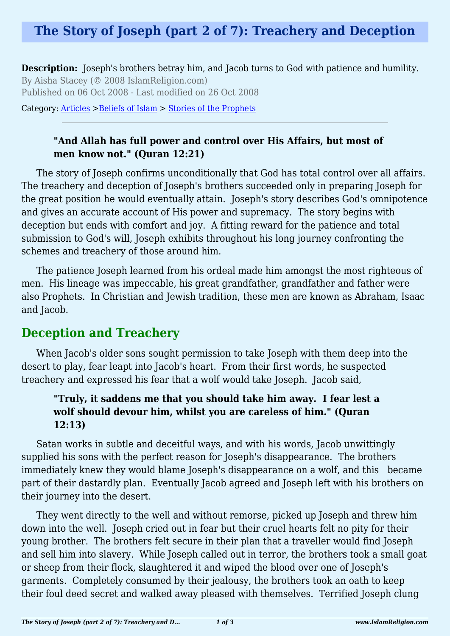# **The Story of Joseph (part 2 of 7): Treachery and Deception**

**Description:** Joseph's brothers betray him, and Jacob turns to God with patience and humility. By Aisha Stacey (© 2008 IslamReligion.com) Published on 06 Oct 2008 - Last modified on 26 Oct 2008

Category: [Articles](http://www.islamreligion.com/articles/) >[Beliefs of Islam](http://www.islamreligion.com/category/48/) > [Stories of the Prophets](http://www.islamreligion.com/category/53/)

### **"And Allah has full power and control over His Affairs, but most of men know not." (Quran 12:21)**

The story of Joseph confirms unconditionally that God has total control over all affairs. The treachery and deception of Joseph's brothers succeeded only in preparing Joseph for the great position he would eventually attain. Joseph's story describes God's omnipotence and gives an accurate account of His power and supremacy. The story begins with deception but ends with comfort and joy. A fitting reward for the patience and total submission to God's will, Joseph exhibits throughout his long journey confronting the schemes and treachery of those around him.

The patience Joseph learned from his ordeal made him amongst the most righteous of men. His lineage was impeccable, his great grandfather, grandfather and father were also Prophets. In Christian and Jewish tradition, these men are known as Abraham, Isaac and Jacob.

## **Deception and Treachery**

When Jacob's older sons sought permission to take Joseph with them deep into the desert to play, fear leapt into Jacob's heart. From their first words, he suspected treachery and expressed his fear that a wolf would take Joseph. Jacob said,

#### **"Truly, it saddens me that you should take him away. I fear lest a wolf should devour him, whilst you are careless of him." (Quran 12:13)**

Satan works in subtle and deceitful ways, and with his words, Jacob unwittingly supplied his sons with the perfect reason for Joseph's disappearance. The brothers immediately knew they would blame Joseph's disappearance on a wolf, and this became part of their dastardly plan. Eventually Jacob agreed and Joseph left with his brothers on their journey into the desert.

They went directly to the well and without remorse, picked up Joseph and threw him down into the well. Joseph cried out in fear but their cruel hearts felt no pity for their young brother. The brothers felt secure in their plan that a traveller would find Joseph and sell him into slavery. While Joseph called out in terror, the brothers took a small goat or sheep from their flock, slaughtered it and wiped the blood over one of Joseph's garments. Completely consumed by their jealousy, the brothers took an oath to keep their foul deed secret and walked away pleased with themselves. Terrified Joseph clung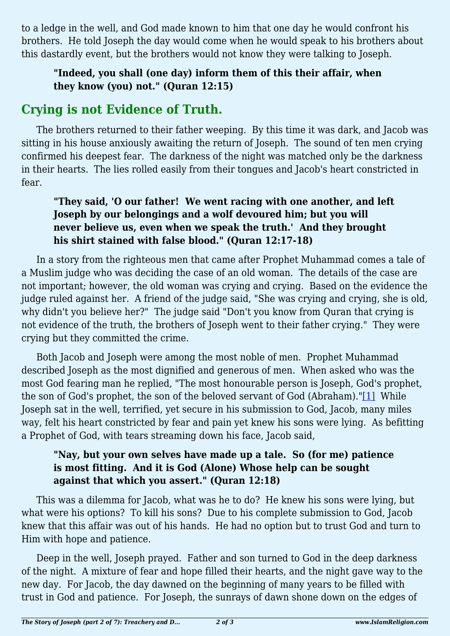to a ledge in the well, and God made known to him that one day he would confront his brothers. He told Joseph the day would come when he would speak to his brothers about this dastardly event, but the brothers would not know they were talking to Joseph.

### **"Indeed, you shall (one day) inform them of this their affair, when they know (you) not." (Quran 12:15)**

## **Crying is not Evidence of Truth.**

The brothers returned to their father weeping. By this time it was dark, and Jacob was sitting in his house anxiously awaiting the return of Joseph. The sound of ten men crying confirmed his deepest fear. The darkness of the night was matched only be the darkness in their hearts. The lies rolled easily from their tongues and Jacob's heart constricted in fear.

### **"They said, 'O our father! We went racing with one another, and left Joseph by our belongings and a wolf devoured him; but you will never believe us, even when we speak the truth.' And they brought his shirt stained with false blood." (Quran 12:17-18)**

In a story from the righteous men that came after Prophet Muhammad comes a tale of a Muslim judge who was deciding the case of an old woman. The details of the case are not important; however, the old woman was crying and crying. Based on the evidence the judge ruled against her. A friend of the judge said, "She was crying and crying, she is old, why didn't you believe her?" The judge said "Don't you know from Quran that crying is not evidence of the truth, the brothers of Joseph went to their father crying." They were crying but they committed the crime.

<span id="page-1-0"></span>Both Jacob and Joseph were among the most noble of men. Prophet Muhammad described Joseph as the most dignified and generous of men. When asked who was the most God fearing man he replied, "The most honourable person is Joseph, God's prophet, the son of God's prophet, the son of the beloved servant of God (Abraham)."[\[1\]](#page-2-0) While Joseph sat in the well, terrified, yet secure in his submission to God, Jacob, many miles way, felt his heart constricted by fear and pain yet knew his sons were lying. As befitting a Prophet of God, with tears streaming down his face, Jacob said,

### **"Nay, but your own selves have made up a tale. So (for me) patience is most fitting. And it is God (Alone) Whose help can be sought against that which you assert." (Quran 12:18)**

This was a dilemma for Jacob, what was he to do? He knew his sons were lying, but what were his options? To kill his sons? Due to his complete submission to God, Jacob knew that this affair was out of his hands. He had no option but to trust God and turn to Him with hope and patience.

Deep in the well, Joseph prayed. Father and son turned to God in the deep darkness of the night. A mixture of fear and hope filled their hearts, and the night gave way to the new day. For Jacob, the day dawned on the beginning of many years to be filled with trust in God and patience. For Joseph, the sunrays of dawn shone down on the edges of